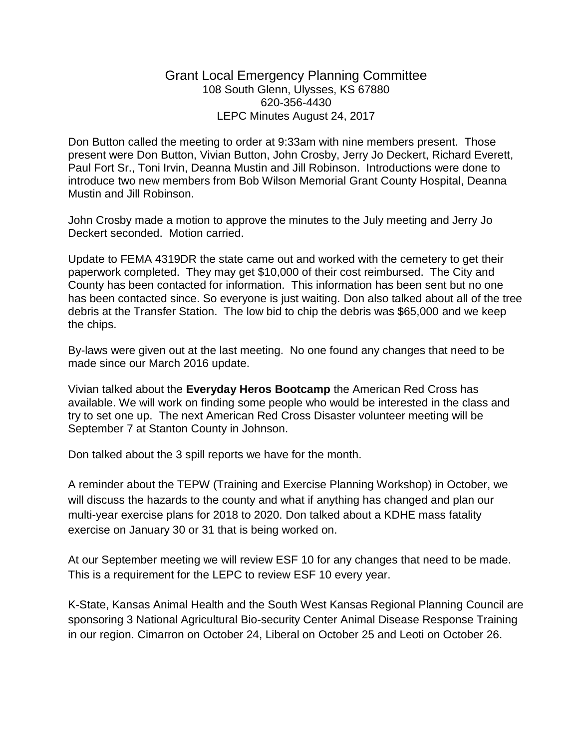## Grant Local Emergency Planning Committee 108 South Glenn, Ulysses, KS 67880 620-356-4430 LEPC Minutes August 24, 2017

Don Button called the meeting to order at 9:33am with nine members present. Those present were Don Button, Vivian Button, John Crosby, Jerry Jo Deckert, Richard Everett, Paul Fort Sr., Toni Irvin, Deanna Mustin and Jill Robinson. Introductions were done to introduce two new members from Bob Wilson Memorial Grant County Hospital, Deanna Mustin and Jill Robinson.

John Crosby made a motion to approve the minutes to the July meeting and Jerry Jo Deckert seconded. Motion carried.

Update to FEMA 4319DR the state came out and worked with the cemetery to get their paperwork completed. They may get \$10,000 of their cost reimbursed. The City and County has been contacted for information. This information has been sent but no one has been contacted since. So everyone is just waiting. Don also talked about all of the tree debris at the Transfer Station. The low bid to chip the debris was \$65,000 and we keep the chips.

By-laws were given out at the last meeting. No one found any changes that need to be made since our March 2016 update.

Vivian talked about the **Everyday Heros Bootcamp** the American Red Cross has available. We will work on finding some people who would be interested in the class and try to set one up. The next American Red Cross Disaster volunteer meeting will be September 7 at Stanton County in Johnson.

Don talked about the 3 spill reports we have for the month.

A reminder about the TEPW (Training and Exercise Planning Workshop) in October, we will discuss the hazards to the county and what if anything has changed and plan our multi-year exercise plans for 2018 to 2020. Don talked about a KDHE mass fatality exercise on January 30 or 31 that is being worked on.

At our September meeting we will review ESF 10 for any changes that need to be made. This is a requirement for the LEPC to review ESF 10 every year.

K-State, Kansas Animal Health and the South West Kansas Regional Planning Council are sponsoring 3 National Agricultural Bio-security Center Animal Disease Response Training in our region. Cimarron on October 24, Liberal on October 25 and Leoti on October 26.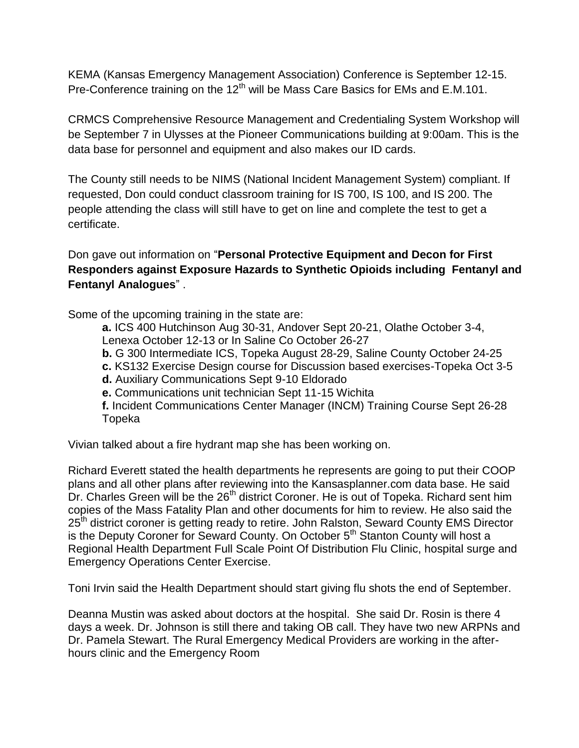KEMA (Kansas Emergency Management Association) Conference is September 12-15. Pre-Conference training on the 12<sup>th</sup> will be Mass Care Basics for EMs and E.M.101.

CRMCS Comprehensive Resource Management and Credentialing System Workshop will be September 7 in Ulysses at the Pioneer Communications building at 9:00am. This is the data base for personnel and equipment and also makes our ID cards.

The County still needs to be NIMS (National Incident Management System) compliant. If requested, Don could conduct classroom training for IS 700, IS 100, and IS 200. The people attending the class will still have to get on line and complete the test to get a certificate.

Don gave out information on "**Personal Protective Equipment and Decon for First Responders against Exposure Hazards to Synthetic Opioids including Fentanyl and Fentanyl Analogues**" .

Some of the upcoming training in the state are:

**a.** ICS 400 Hutchinson Aug 30-31, Andover Sept 20-21, Olathe October 3-4, Lenexa October 12-13 or In Saline Co October 26-27

**b.** G 300 Intermediate ICS, Topeka August 28-29, Saline County October 24-25

**c.** KS132 Exercise Design course for Discussion based exercises-Topeka Oct 3-5

**d.** Auxiliary Communications Sept 9-10 Eldorado

**e.** Communications unit technician Sept 11-15 Wichita

**f.** Incident Communications Center Manager (INCM) Training Course Sept 26-28 Topeka

Vivian talked about a fire hydrant map she has been working on.

Richard Everett stated the health departments he represents are going to put their COOP plans and all other plans after reviewing into the Kansasplanner.com data base. He said Dr. Charles Green will be the  $26<sup>th</sup>$  district Coroner. He is out of Topeka. Richard sent him copies of the Mass Fatality Plan and other documents for him to review. He also said the 25<sup>th</sup> district coroner is getting ready to retire. John Ralston, Seward County EMS Director is the Deputy Coroner for Seward County. On October 5<sup>th</sup> Stanton County will host a Regional Health Department Full Scale Point Of Distribution Flu Clinic, hospital surge and Emergency Operations Center Exercise.

Toni Irvin said the Health Department should start giving flu shots the end of September.

Deanna Mustin was asked about doctors at the hospital. She said Dr. Rosin is there 4 days a week. Dr. Johnson is still there and taking OB call. They have two new ARPNs and Dr. Pamela Stewart. The Rural Emergency Medical Providers are working in the afterhours clinic and the Emergency Room